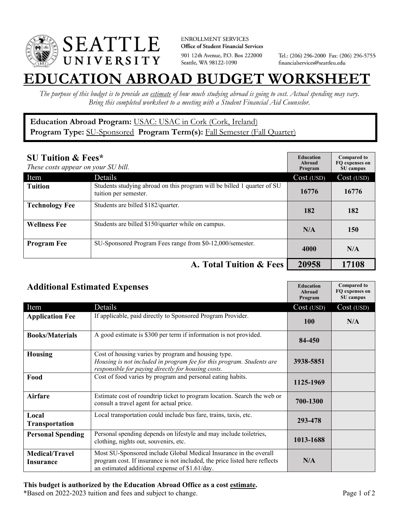

**ENROLLMENT SERVICES** Office of Student Financial Services 901 12th Avenue, P.O. Box 222000 Seattle, WA 98122-1090

Tel.: (206) 296-2000 Fax: (206) 296-5755 financialservices@seattleu.edu

## **EATION ABROAD BUDGET WORKSHEE**

*The purpose of this budget is to provide an estimate of how much studying abroad is going to cost. Actual spending may vary. Bring this completed worksheet to a meeting with a Student Financial Aid Counselor.* 

## **Education Abroad Program:** USAC: USAC in Cork (Cork, Ireland) Program Type: **SU-Sponsored** Program Term(s): **Fall Semester (Fall Quarter)**

| <b>SU Tuition &amp; Fees*</b><br>These costs appear on your SU bill. |                                                                                                  | <b>Education</b><br>Abroad<br>Program | <b>Compared to</b><br>FO expenses on<br>SU campus |
|----------------------------------------------------------------------|--------------------------------------------------------------------------------------------------|---------------------------------------|---------------------------------------------------|
| Item                                                                 | Details                                                                                          | Cost (USD)                            | Cost (USD)                                        |
| <b>Tuition</b>                                                       | Students studying abroad on this program will be billed 1 quarter of SU<br>tuition per semester. | 16776                                 | 16776                                             |
| <b>Technology Fee</b>                                                | Students are billed \$182/quarter.                                                               | 182                                   | 182                                               |
| <b>Wellness Fee</b>                                                  | Students are billed \$150/quarter while on campus.                                               | N/A                                   | 150                                               |
| <b>Program Fee</b>                                                   | SU-Sponsored Program Fees range from \$0-12,000/semester.                                        | 4000                                  | N/A                                               |
|                                                                      | A. Total Tuition & Fees                                                                          | 20958                                 | 17108                                             |

| <b>Additional Estimated Expenses</b> |                                                                                                                                                                                                   | <b>Education</b><br>Abroad<br>Program | <b>Compared to</b><br>FQ expenses on<br>SU campus |
|--------------------------------------|---------------------------------------------------------------------------------------------------------------------------------------------------------------------------------------------------|---------------------------------------|---------------------------------------------------|
| Item                                 | Details                                                                                                                                                                                           | Cost (USD)                            | Cost (USD)                                        |
| <b>Application Fee</b>               | If applicable, paid directly to Sponsored Program Provider.                                                                                                                                       | <b>100</b>                            | N/A                                               |
| <b>Books/Materials</b>               | A good estimate is \$300 per term if information is not provided.                                                                                                                                 | 84-450                                |                                                   |
| <b>Housing</b>                       | Cost of housing varies by program and housing type.<br>Housing is not included in program fee for this program. Students are<br>responsible for paying directly for housing costs.                | 3938-5851                             |                                                   |
| Food                                 | Cost of food varies by program and personal eating habits.                                                                                                                                        | 1125-1969                             |                                                   |
| <b>Airfare</b>                       | Estimate cost of roundtrip ticket to program location. Search the web or<br>consult a travel agent for actual price.                                                                              | 700-1300                              |                                                   |
| Local<br><b>Transportation</b>       | Local transportation could include bus fare, trains, taxis, etc.                                                                                                                                  | 293-478                               |                                                   |
| <b>Personal Spending</b>             | Personal spending depends on lifestyle and may include toiletries,<br>clothing, nights out, souvenirs, etc.                                                                                       | 1013-1688                             |                                                   |
| <b>Medical/Travel</b><br>Insurance   | Most SU-Sponsored include Global Medical Insurance in the overall<br>program cost. If insurance is not included, the price listed here reflects<br>an estimated additional expense of \$1.61/day. | N/A                                   |                                                   |

## **This budget is authorized by the Education Abroad Office as a cost estimate.**

\*Based on 2022-2023 tuition and fees and subject to change. Page 1 of 2